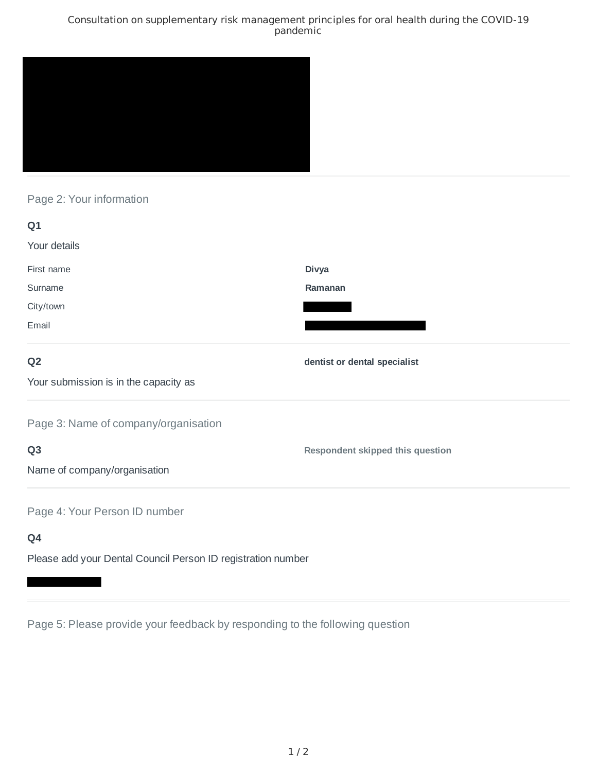### Consultation on supplementary risk management principles for oral health during the COVID-19 pandemic



# Page 2: Your information

| Q1                                                           |                                  |
|--------------------------------------------------------------|----------------------------------|
| Your details                                                 |                                  |
| First name                                                   | <b>Divya</b>                     |
| Surname                                                      | Ramanan                          |
| City/town                                                    |                                  |
| Email                                                        |                                  |
| Q <sub>2</sub>                                               | dentist or dental specialist     |
| Your submission is in the capacity as                        |                                  |
| Page 3: Name of company/organisation                         |                                  |
| Q <sub>3</sub>                                               | Respondent skipped this question |
| Name of company/organisation                                 |                                  |
| Page 4: Your Person ID number                                |                                  |
| Q4                                                           |                                  |
| Please add your Dental Council Person ID registration number |                                  |

Page 5: Please provide your feedback by responding to the following question